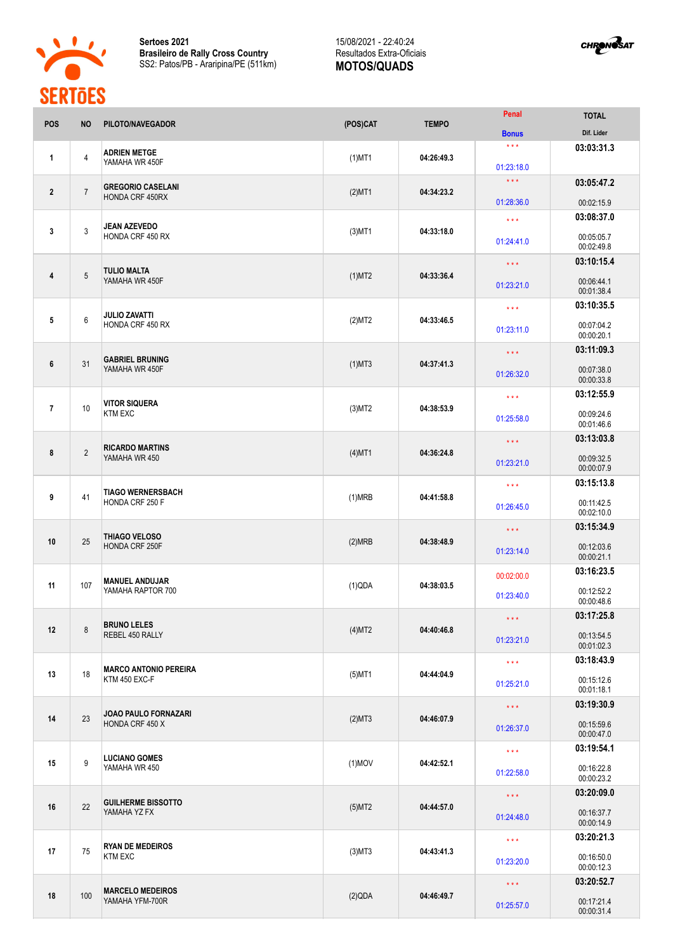

**Sertoes 2021 Brasileiro de Rally Cross Country** SS2: Patos/PB - Araripina/PE (511km)

## 15/08/2021 - 22:40:24 Resultados Extra-Oficiais **MOTOS/QUADS**



| Dif. Lider<br><b>Bonus</b><br>$***$<br>03:03:31.3<br><b>ADRIEN METGE</b><br>$\overline{4}$<br>$(1)$ MT1<br>04:26:49.3<br>$\mathbf{1}$<br>YAMAHA WR 450F<br>01:23:18.0<br>$\star \star \star$<br>03:05:47.2<br><b>GREGORIO CASELANI</b><br>$\overline{7}$<br>$\overline{2}$<br>04:34:23.2<br>$(2)$ MT1<br><b>HONDA CRF 450RX</b><br>01:28:36.0<br>00:02:15.9<br>03:08:37.0<br>$\star\star\star$<br><b>JEAN AZEVEDO</b><br>$\mathbf{3}$<br>$\mathbf{3}$<br>$(3)$ MT1<br>04:33:18.0<br>HONDA CRF 450 RX<br>00:05:05.7<br>01:24:41.0<br>00:02:49.8<br>03:10:15.4<br>$\star\star\star$<br><b>TULIO MALTA</b><br>$5\phantom{.0}$<br>4<br>$(1)$ MT2<br>04:33:36.4<br>YAMAHA WR 450F<br>00:06:44.1<br>01:23:21.0<br>00:01:38.4<br>03:10:35.5<br>$\star\star\star$<br><b>JULIO ZAVATTI</b><br>6<br>5<br>(2)MT2<br>04:33:46.5<br>HONDA CRF 450 RX<br>00:07:04.2<br>01:23:11.0<br>00:00:20.1<br>03:11:09.3<br>$\star\star\star$<br><b>GABRIEL BRUNING</b><br>31<br>6<br>$(1)$ MT3<br>04:37:41.3<br>YAMAHA WR 450F<br>00:07:38.0<br>01:26:32.0<br>00:00:33.8<br>03:12:55.9<br>$\star\star\star$<br><b>VITOR SIQUERA</b><br>10<br>$\overline{7}$<br>04:38:53.9<br>$(3)$ MT2<br><b>KTM EXC</b><br>00:09:24.6<br>01:25:58.0<br>00:01:46.6<br>03:13:03.8<br>$\star\star\star$<br><b>RICARDO MARTINS</b><br>$\overline{2}$<br>8<br>$(4)$ MT1<br>04:36:24.8<br>YAMAHA WR 450<br>00:09:32.5<br>01:23:21.0<br>00:00:07.9<br>03:15:13.8<br>$\star$ $\star$ $\star$<br><b>TIAGO WERNERSBACH</b><br>9<br>41<br>(1)MRB<br>04:41:58.8<br>HONDA CRF 250 F<br>00:11:42.5<br>01:26:45.0<br>00:02:10.0<br>03:15:34.9<br>$\star\star\star$<br>THIAGO VELOSO<br>25<br>10<br>(2)MRB<br>04:38:48.9<br>HONDA CRF 250F<br>00:12:03.6<br>01:23:14.0<br>00:00:21.1<br>03:16:23.5<br>00:02:00.0<br><b>MANUEL ANDUJAR</b><br>107<br>11<br>(1)QDA<br>04:38:03.5<br>YAMAHA RAPTOR 700<br>00:12:52.2<br>01:23:40.0<br>00:00:48.6<br>03:17:25.8<br>$\star\star\star$<br><b>BRUNO LELES</b><br>$\bf 8$<br>12<br>(4)MT2<br>04:40:46.8<br>REBEL 450 RALLY<br>00:13:54.5<br>01:23:21.0<br>00:01:02.3<br>03:18:43.9<br>$\star\star\star$<br><b>MARCO ANTONIO PEREIRA</b><br>18<br>13<br>$(5)$ MT1<br>04:44:04.9<br>KTM 450 EXC-F<br>00:15:12.6<br>01:25:21.0<br>00:01:18.1<br>03:19:30.9<br>$\star\star\star$<br>JOAO PAULO FORNAZARI<br>23<br>14<br>(2)MT3<br>04:46:07.9<br>HONDA CRF 450 X<br>00:15:59.6<br>01:26:37.0<br>00:00:47.0<br>03:19:54.1<br>$\star\star\star$<br><b>LUCIANO GOMES</b><br>9<br>15<br>$(1)$ MOV<br>04:42:52.1<br>YAMAHA WR 450<br>00:16:22.8<br>01:22:58.0<br>00:00:23.2<br>03:20:09.0<br>$\star$ $\star$ $\star$<br><b>GUILHERME BISSOTTO</b><br>22<br>16<br>$(5)$ MT2<br>04:44:57.0<br>YAMAHA YZ FX<br>00:16:37.7<br>01:24:48.0<br>00:00:14.9<br>03:20:21.3<br>$\star\star\star$<br><b>RYAN DE MEDEIROS</b><br>75<br>17<br>$(3)$ MT3<br>04:43:41.3<br><b>KTM EXC</b><br>00:16:50.0<br>01:23:20.0<br>00:00:12.3<br>03:20:52.7<br>$\star\star\star$<br><b>MARCELO MEDEIROS</b><br>100<br>18<br>(2)QDA<br>04:46:49.7<br>YAMAHA YFM-700R<br>00:17:21.4<br>01:25:57.0<br>00:00:31.4 | <b>POS</b> | <b>NO</b> | PILOTO/NAVEGADOR | (POS)CAT | <b>TEMPO</b> | Penal | <b>TOTAL</b> |
|------------------------------------------------------------------------------------------------------------------------------------------------------------------------------------------------------------------------------------------------------------------------------------------------------------------------------------------------------------------------------------------------------------------------------------------------------------------------------------------------------------------------------------------------------------------------------------------------------------------------------------------------------------------------------------------------------------------------------------------------------------------------------------------------------------------------------------------------------------------------------------------------------------------------------------------------------------------------------------------------------------------------------------------------------------------------------------------------------------------------------------------------------------------------------------------------------------------------------------------------------------------------------------------------------------------------------------------------------------------------------------------------------------------------------------------------------------------------------------------------------------------------------------------------------------------------------------------------------------------------------------------------------------------------------------------------------------------------------------------------------------------------------------------------------------------------------------------------------------------------------------------------------------------------------------------------------------------------------------------------------------------------------------------------------------------------------------------------------------------------------------------------------------------------------------------------------------------------------------------------------------------------------------------------------------------------------------------------------------------------------------------------------------------------------------------------------------------------------------------------------------------------------------------------------------------------------------------------------------------------------------------------------------------------------------------------------------------------------------------------------------------------------------------------------------------------------------------------------------------------------------------------------------------------------------------------------------------------------------------------------------------------------------------------------------|------------|-----------|------------------|----------|--------------|-------|--------------|
|                                                                                                                                                                                                                                                                                                                                                                                                                                                                                                                                                                                                                                                                                                                                                                                                                                                                                                                                                                                                                                                                                                                                                                                                                                                                                                                                                                                                                                                                                                                                                                                                                                                                                                                                                                                                                                                                                                                                                                                                                                                                                                                                                                                                                                                                                                                                                                                                                                                                                                                                                                                                                                                                                                                                                                                                                                                                                                                                                                                                                                                            |            |           |                  |          |              |       |              |
|                                                                                                                                                                                                                                                                                                                                                                                                                                                                                                                                                                                                                                                                                                                                                                                                                                                                                                                                                                                                                                                                                                                                                                                                                                                                                                                                                                                                                                                                                                                                                                                                                                                                                                                                                                                                                                                                                                                                                                                                                                                                                                                                                                                                                                                                                                                                                                                                                                                                                                                                                                                                                                                                                                                                                                                                                                                                                                                                                                                                                                                            |            |           |                  |          |              |       |              |
|                                                                                                                                                                                                                                                                                                                                                                                                                                                                                                                                                                                                                                                                                                                                                                                                                                                                                                                                                                                                                                                                                                                                                                                                                                                                                                                                                                                                                                                                                                                                                                                                                                                                                                                                                                                                                                                                                                                                                                                                                                                                                                                                                                                                                                                                                                                                                                                                                                                                                                                                                                                                                                                                                                                                                                                                                                                                                                                                                                                                                                                            |            |           |                  |          |              |       |              |
|                                                                                                                                                                                                                                                                                                                                                                                                                                                                                                                                                                                                                                                                                                                                                                                                                                                                                                                                                                                                                                                                                                                                                                                                                                                                                                                                                                                                                                                                                                                                                                                                                                                                                                                                                                                                                                                                                                                                                                                                                                                                                                                                                                                                                                                                                                                                                                                                                                                                                                                                                                                                                                                                                                                                                                                                                                                                                                                                                                                                                                                            |            |           |                  |          |              |       |              |
|                                                                                                                                                                                                                                                                                                                                                                                                                                                                                                                                                                                                                                                                                                                                                                                                                                                                                                                                                                                                                                                                                                                                                                                                                                                                                                                                                                                                                                                                                                                                                                                                                                                                                                                                                                                                                                                                                                                                                                                                                                                                                                                                                                                                                                                                                                                                                                                                                                                                                                                                                                                                                                                                                                                                                                                                                                                                                                                                                                                                                                                            |            |           |                  |          |              |       |              |
|                                                                                                                                                                                                                                                                                                                                                                                                                                                                                                                                                                                                                                                                                                                                                                                                                                                                                                                                                                                                                                                                                                                                                                                                                                                                                                                                                                                                                                                                                                                                                                                                                                                                                                                                                                                                                                                                                                                                                                                                                                                                                                                                                                                                                                                                                                                                                                                                                                                                                                                                                                                                                                                                                                                                                                                                                                                                                                                                                                                                                                                            |            |           |                  |          |              |       |              |
|                                                                                                                                                                                                                                                                                                                                                                                                                                                                                                                                                                                                                                                                                                                                                                                                                                                                                                                                                                                                                                                                                                                                                                                                                                                                                                                                                                                                                                                                                                                                                                                                                                                                                                                                                                                                                                                                                                                                                                                                                                                                                                                                                                                                                                                                                                                                                                                                                                                                                                                                                                                                                                                                                                                                                                                                                                                                                                                                                                                                                                                            |            |           |                  |          |              |       |              |
|                                                                                                                                                                                                                                                                                                                                                                                                                                                                                                                                                                                                                                                                                                                                                                                                                                                                                                                                                                                                                                                                                                                                                                                                                                                                                                                                                                                                                                                                                                                                                                                                                                                                                                                                                                                                                                                                                                                                                                                                                                                                                                                                                                                                                                                                                                                                                                                                                                                                                                                                                                                                                                                                                                                                                                                                                                                                                                                                                                                                                                                            |            |           |                  |          |              |       |              |
|                                                                                                                                                                                                                                                                                                                                                                                                                                                                                                                                                                                                                                                                                                                                                                                                                                                                                                                                                                                                                                                                                                                                                                                                                                                                                                                                                                                                                                                                                                                                                                                                                                                                                                                                                                                                                                                                                                                                                                                                                                                                                                                                                                                                                                                                                                                                                                                                                                                                                                                                                                                                                                                                                                                                                                                                                                                                                                                                                                                                                                                            |            |           |                  |          |              |       |              |
|                                                                                                                                                                                                                                                                                                                                                                                                                                                                                                                                                                                                                                                                                                                                                                                                                                                                                                                                                                                                                                                                                                                                                                                                                                                                                                                                                                                                                                                                                                                                                                                                                                                                                                                                                                                                                                                                                                                                                                                                                                                                                                                                                                                                                                                                                                                                                                                                                                                                                                                                                                                                                                                                                                                                                                                                                                                                                                                                                                                                                                                            |            |           |                  |          |              |       |              |
|                                                                                                                                                                                                                                                                                                                                                                                                                                                                                                                                                                                                                                                                                                                                                                                                                                                                                                                                                                                                                                                                                                                                                                                                                                                                                                                                                                                                                                                                                                                                                                                                                                                                                                                                                                                                                                                                                                                                                                                                                                                                                                                                                                                                                                                                                                                                                                                                                                                                                                                                                                                                                                                                                                                                                                                                                                                                                                                                                                                                                                                            |            |           |                  |          |              |       |              |
|                                                                                                                                                                                                                                                                                                                                                                                                                                                                                                                                                                                                                                                                                                                                                                                                                                                                                                                                                                                                                                                                                                                                                                                                                                                                                                                                                                                                                                                                                                                                                                                                                                                                                                                                                                                                                                                                                                                                                                                                                                                                                                                                                                                                                                                                                                                                                                                                                                                                                                                                                                                                                                                                                                                                                                                                                                                                                                                                                                                                                                                            |            |           |                  |          |              |       |              |
|                                                                                                                                                                                                                                                                                                                                                                                                                                                                                                                                                                                                                                                                                                                                                                                                                                                                                                                                                                                                                                                                                                                                                                                                                                                                                                                                                                                                                                                                                                                                                                                                                                                                                                                                                                                                                                                                                                                                                                                                                                                                                                                                                                                                                                                                                                                                                                                                                                                                                                                                                                                                                                                                                                                                                                                                                                                                                                                                                                                                                                                            |            |           |                  |          |              |       |              |
|                                                                                                                                                                                                                                                                                                                                                                                                                                                                                                                                                                                                                                                                                                                                                                                                                                                                                                                                                                                                                                                                                                                                                                                                                                                                                                                                                                                                                                                                                                                                                                                                                                                                                                                                                                                                                                                                                                                                                                                                                                                                                                                                                                                                                                                                                                                                                                                                                                                                                                                                                                                                                                                                                                                                                                                                                                                                                                                                                                                                                                                            |            |           |                  |          |              |       |              |
|                                                                                                                                                                                                                                                                                                                                                                                                                                                                                                                                                                                                                                                                                                                                                                                                                                                                                                                                                                                                                                                                                                                                                                                                                                                                                                                                                                                                                                                                                                                                                                                                                                                                                                                                                                                                                                                                                                                                                                                                                                                                                                                                                                                                                                                                                                                                                                                                                                                                                                                                                                                                                                                                                                                                                                                                                                                                                                                                                                                                                                                            |            |           |                  |          |              |       |              |
|                                                                                                                                                                                                                                                                                                                                                                                                                                                                                                                                                                                                                                                                                                                                                                                                                                                                                                                                                                                                                                                                                                                                                                                                                                                                                                                                                                                                                                                                                                                                                                                                                                                                                                                                                                                                                                                                                                                                                                                                                                                                                                                                                                                                                                                                                                                                                                                                                                                                                                                                                                                                                                                                                                                                                                                                                                                                                                                                                                                                                                                            |            |           |                  |          |              |       |              |
|                                                                                                                                                                                                                                                                                                                                                                                                                                                                                                                                                                                                                                                                                                                                                                                                                                                                                                                                                                                                                                                                                                                                                                                                                                                                                                                                                                                                                                                                                                                                                                                                                                                                                                                                                                                                                                                                                                                                                                                                                                                                                                                                                                                                                                                                                                                                                                                                                                                                                                                                                                                                                                                                                                                                                                                                                                                                                                                                                                                                                                                            |            |           |                  |          |              |       |              |
|                                                                                                                                                                                                                                                                                                                                                                                                                                                                                                                                                                                                                                                                                                                                                                                                                                                                                                                                                                                                                                                                                                                                                                                                                                                                                                                                                                                                                                                                                                                                                                                                                                                                                                                                                                                                                                                                                                                                                                                                                                                                                                                                                                                                                                                                                                                                                                                                                                                                                                                                                                                                                                                                                                                                                                                                                                                                                                                                                                                                                                                            |            |           |                  |          |              |       |              |
|                                                                                                                                                                                                                                                                                                                                                                                                                                                                                                                                                                                                                                                                                                                                                                                                                                                                                                                                                                                                                                                                                                                                                                                                                                                                                                                                                                                                                                                                                                                                                                                                                                                                                                                                                                                                                                                                                                                                                                                                                                                                                                                                                                                                                                                                                                                                                                                                                                                                                                                                                                                                                                                                                                                                                                                                                                                                                                                                                                                                                                                            |            |           |                  |          |              |       |              |
|                                                                                                                                                                                                                                                                                                                                                                                                                                                                                                                                                                                                                                                                                                                                                                                                                                                                                                                                                                                                                                                                                                                                                                                                                                                                                                                                                                                                                                                                                                                                                                                                                                                                                                                                                                                                                                                                                                                                                                                                                                                                                                                                                                                                                                                                                                                                                                                                                                                                                                                                                                                                                                                                                                                                                                                                                                                                                                                                                                                                                                                            |            |           |                  |          |              |       |              |
|                                                                                                                                                                                                                                                                                                                                                                                                                                                                                                                                                                                                                                                                                                                                                                                                                                                                                                                                                                                                                                                                                                                                                                                                                                                                                                                                                                                                                                                                                                                                                                                                                                                                                                                                                                                                                                                                                                                                                                                                                                                                                                                                                                                                                                                                                                                                                                                                                                                                                                                                                                                                                                                                                                                                                                                                                                                                                                                                                                                                                                                            |            |           |                  |          |              |       |              |
|                                                                                                                                                                                                                                                                                                                                                                                                                                                                                                                                                                                                                                                                                                                                                                                                                                                                                                                                                                                                                                                                                                                                                                                                                                                                                                                                                                                                                                                                                                                                                                                                                                                                                                                                                                                                                                                                                                                                                                                                                                                                                                                                                                                                                                                                                                                                                                                                                                                                                                                                                                                                                                                                                                                                                                                                                                                                                                                                                                                                                                                            |            |           |                  |          |              |       |              |
|                                                                                                                                                                                                                                                                                                                                                                                                                                                                                                                                                                                                                                                                                                                                                                                                                                                                                                                                                                                                                                                                                                                                                                                                                                                                                                                                                                                                                                                                                                                                                                                                                                                                                                                                                                                                                                                                                                                                                                                                                                                                                                                                                                                                                                                                                                                                                                                                                                                                                                                                                                                                                                                                                                                                                                                                                                                                                                                                                                                                                                                            |            |           |                  |          |              |       |              |
|                                                                                                                                                                                                                                                                                                                                                                                                                                                                                                                                                                                                                                                                                                                                                                                                                                                                                                                                                                                                                                                                                                                                                                                                                                                                                                                                                                                                                                                                                                                                                                                                                                                                                                                                                                                                                                                                                                                                                                                                                                                                                                                                                                                                                                                                                                                                                                                                                                                                                                                                                                                                                                                                                                                                                                                                                                                                                                                                                                                                                                                            |            |           |                  |          |              |       |              |
|                                                                                                                                                                                                                                                                                                                                                                                                                                                                                                                                                                                                                                                                                                                                                                                                                                                                                                                                                                                                                                                                                                                                                                                                                                                                                                                                                                                                                                                                                                                                                                                                                                                                                                                                                                                                                                                                                                                                                                                                                                                                                                                                                                                                                                                                                                                                                                                                                                                                                                                                                                                                                                                                                                                                                                                                                                                                                                                                                                                                                                                            |            |           |                  |          |              |       |              |
|                                                                                                                                                                                                                                                                                                                                                                                                                                                                                                                                                                                                                                                                                                                                                                                                                                                                                                                                                                                                                                                                                                                                                                                                                                                                                                                                                                                                                                                                                                                                                                                                                                                                                                                                                                                                                                                                                                                                                                                                                                                                                                                                                                                                                                                                                                                                                                                                                                                                                                                                                                                                                                                                                                                                                                                                                                                                                                                                                                                                                                                            |            |           |                  |          |              |       |              |
|                                                                                                                                                                                                                                                                                                                                                                                                                                                                                                                                                                                                                                                                                                                                                                                                                                                                                                                                                                                                                                                                                                                                                                                                                                                                                                                                                                                                                                                                                                                                                                                                                                                                                                                                                                                                                                                                                                                                                                                                                                                                                                                                                                                                                                                                                                                                                                                                                                                                                                                                                                                                                                                                                                                                                                                                                                                                                                                                                                                                                                                            |            |           |                  |          |              |       |              |
|                                                                                                                                                                                                                                                                                                                                                                                                                                                                                                                                                                                                                                                                                                                                                                                                                                                                                                                                                                                                                                                                                                                                                                                                                                                                                                                                                                                                                                                                                                                                                                                                                                                                                                                                                                                                                                                                                                                                                                                                                                                                                                                                                                                                                                                                                                                                                                                                                                                                                                                                                                                                                                                                                                                                                                                                                                                                                                                                                                                                                                                            |            |           |                  |          |              |       |              |
|                                                                                                                                                                                                                                                                                                                                                                                                                                                                                                                                                                                                                                                                                                                                                                                                                                                                                                                                                                                                                                                                                                                                                                                                                                                                                                                                                                                                                                                                                                                                                                                                                                                                                                                                                                                                                                                                                                                                                                                                                                                                                                                                                                                                                                                                                                                                                                                                                                                                                                                                                                                                                                                                                                                                                                                                                                                                                                                                                                                                                                                            |            |           |                  |          |              |       |              |
|                                                                                                                                                                                                                                                                                                                                                                                                                                                                                                                                                                                                                                                                                                                                                                                                                                                                                                                                                                                                                                                                                                                                                                                                                                                                                                                                                                                                                                                                                                                                                                                                                                                                                                                                                                                                                                                                                                                                                                                                                                                                                                                                                                                                                                                                                                                                                                                                                                                                                                                                                                                                                                                                                                                                                                                                                                                                                                                                                                                                                                                            |            |           |                  |          |              |       |              |
|                                                                                                                                                                                                                                                                                                                                                                                                                                                                                                                                                                                                                                                                                                                                                                                                                                                                                                                                                                                                                                                                                                                                                                                                                                                                                                                                                                                                                                                                                                                                                                                                                                                                                                                                                                                                                                                                                                                                                                                                                                                                                                                                                                                                                                                                                                                                                                                                                                                                                                                                                                                                                                                                                                                                                                                                                                                                                                                                                                                                                                                            |            |           |                  |          |              |       |              |
|                                                                                                                                                                                                                                                                                                                                                                                                                                                                                                                                                                                                                                                                                                                                                                                                                                                                                                                                                                                                                                                                                                                                                                                                                                                                                                                                                                                                                                                                                                                                                                                                                                                                                                                                                                                                                                                                                                                                                                                                                                                                                                                                                                                                                                                                                                                                                                                                                                                                                                                                                                                                                                                                                                                                                                                                                                                                                                                                                                                                                                                            |            |           |                  |          |              |       |              |
|                                                                                                                                                                                                                                                                                                                                                                                                                                                                                                                                                                                                                                                                                                                                                                                                                                                                                                                                                                                                                                                                                                                                                                                                                                                                                                                                                                                                                                                                                                                                                                                                                                                                                                                                                                                                                                                                                                                                                                                                                                                                                                                                                                                                                                                                                                                                                                                                                                                                                                                                                                                                                                                                                                                                                                                                                                                                                                                                                                                                                                                            |            |           |                  |          |              |       |              |
|                                                                                                                                                                                                                                                                                                                                                                                                                                                                                                                                                                                                                                                                                                                                                                                                                                                                                                                                                                                                                                                                                                                                                                                                                                                                                                                                                                                                                                                                                                                                                                                                                                                                                                                                                                                                                                                                                                                                                                                                                                                                                                                                                                                                                                                                                                                                                                                                                                                                                                                                                                                                                                                                                                                                                                                                                                                                                                                                                                                                                                                            |            |           |                  |          |              |       |              |
|                                                                                                                                                                                                                                                                                                                                                                                                                                                                                                                                                                                                                                                                                                                                                                                                                                                                                                                                                                                                                                                                                                                                                                                                                                                                                                                                                                                                                                                                                                                                                                                                                                                                                                                                                                                                                                                                                                                                                                                                                                                                                                                                                                                                                                                                                                                                                                                                                                                                                                                                                                                                                                                                                                                                                                                                                                                                                                                                                                                                                                                            |            |           |                  |          |              |       |              |
|                                                                                                                                                                                                                                                                                                                                                                                                                                                                                                                                                                                                                                                                                                                                                                                                                                                                                                                                                                                                                                                                                                                                                                                                                                                                                                                                                                                                                                                                                                                                                                                                                                                                                                                                                                                                                                                                                                                                                                                                                                                                                                                                                                                                                                                                                                                                                                                                                                                                                                                                                                                                                                                                                                                                                                                                                                                                                                                                                                                                                                                            |            |           |                  |          |              |       |              |
|                                                                                                                                                                                                                                                                                                                                                                                                                                                                                                                                                                                                                                                                                                                                                                                                                                                                                                                                                                                                                                                                                                                                                                                                                                                                                                                                                                                                                                                                                                                                                                                                                                                                                                                                                                                                                                                                                                                                                                                                                                                                                                                                                                                                                                                                                                                                                                                                                                                                                                                                                                                                                                                                                                                                                                                                                                                                                                                                                                                                                                                            |            |           |                  |          |              |       |              |
|                                                                                                                                                                                                                                                                                                                                                                                                                                                                                                                                                                                                                                                                                                                                                                                                                                                                                                                                                                                                                                                                                                                                                                                                                                                                                                                                                                                                                                                                                                                                                                                                                                                                                                                                                                                                                                                                                                                                                                                                                                                                                                                                                                                                                                                                                                                                                                                                                                                                                                                                                                                                                                                                                                                                                                                                                                                                                                                                                                                                                                                            |            |           |                  |          |              |       |              |
|                                                                                                                                                                                                                                                                                                                                                                                                                                                                                                                                                                                                                                                                                                                                                                                                                                                                                                                                                                                                                                                                                                                                                                                                                                                                                                                                                                                                                                                                                                                                                                                                                                                                                                                                                                                                                                                                                                                                                                                                                                                                                                                                                                                                                                                                                                                                                                                                                                                                                                                                                                                                                                                                                                                                                                                                                                                                                                                                                                                                                                                            |            |           |                  |          |              |       |              |
|                                                                                                                                                                                                                                                                                                                                                                                                                                                                                                                                                                                                                                                                                                                                                                                                                                                                                                                                                                                                                                                                                                                                                                                                                                                                                                                                                                                                                                                                                                                                                                                                                                                                                                                                                                                                                                                                                                                                                                                                                                                                                                                                                                                                                                                                                                                                                                                                                                                                                                                                                                                                                                                                                                                                                                                                                                                                                                                                                                                                                                                            |            |           |                  |          |              |       |              |
|                                                                                                                                                                                                                                                                                                                                                                                                                                                                                                                                                                                                                                                                                                                                                                                                                                                                                                                                                                                                                                                                                                                                                                                                                                                                                                                                                                                                                                                                                                                                                                                                                                                                                                                                                                                                                                                                                                                                                                                                                                                                                                                                                                                                                                                                                                                                                                                                                                                                                                                                                                                                                                                                                                                                                                                                                                                                                                                                                                                                                                                            |            |           |                  |          |              |       |              |
|                                                                                                                                                                                                                                                                                                                                                                                                                                                                                                                                                                                                                                                                                                                                                                                                                                                                                                                                                                                                                                                                                                                                                                                                                                                                                                                                                                                                                                                                                                                                                                                                                                                                                                                                                                                                                                                                                                                                                                                                                                                                                                                                                                                                                                                                                                                                                                                                                                                                                                                                                                                                                                                                                                                                                                                                                                                                                                                                                                                                                                                            |            |           |                  |          |              |       |              |
|                                                                                                                                                                                                                                                                                                                                                                                                                                                                                                                                                                                                                                                                                                                                                                                                                                                                                                                                                                                                                                                                                                                                                                                                                                                                                                                                                                                                                                                                                                                                                                                                                                                                                                                                                                                                                                                                                                                                                                                                                                                                                                                                                                                                                                                                                                                                                                                                                                                                                                                                                                                                                                                                                                                                                                                                                                                                                                                                                                                                                                                            |            |           |                  |          |              |       |              |
|                                                                                                                                                                                                                                                                                                                                                                                                                                                                                                                                                                                                                                                                                                                                                                                                                                                                                                                                                                                                                                                                                                                                                                                                                                                                                                                                                                                                                                                                                                                                                                                                                                                                                                                                                                                                                                                                                                                                                                                                                                                                                                                                                                                                                                                                                                                                                                                                                                                                                                                                                                                                                                                                                                                                                                                                                                                                                                                                                                                                                                                            |            |           |                  |          |              |       |              |
|                                                                                                                                                                                                                                                                                                                                                                                                                                                                                                                                                                                                                                                                                                                                                                                                                                                                                                                                                                                                                                                                                                                                                                                                                                                                                                                                                                                                                                                                                                                                                                                                                                                                                                                                                                                                                                                                                                                                                                                                                                                                                                                                                                                                                                                                                                                                                                                                                                                                                                                                                                                                                                                                                                                                                                                                                                                                                                                                                                                                                                                            |            |           |                  |          |              |       |              |
|                                                                                                                                                                                                                                                                                                                                                                                                                                                                                                                                                                                                                                                                                                                                                                                                                                                                                                                                                                                                                                                                                                                                                                                                                                                                                                                                                                                                                                                                                                                                                                                                                                                                                                                                                                                                                                                                                                                                                                                                                                                                                                                                                                                                                                                                                                                                                                                                                                                                                                                                                                                                                                                                                                                                                                                                                                                                                                                                                                                                                                                            |            |           |                  |          |              |       |              |
|                                                                                                                                                                                                                                                                                                                                                                                                                                                                                                                                                                                                                                                                                                                                                                                                                                                                                                                                                                                                                                                                                                                                                                                                                                                                                                                                                                                                                                                                                                                                                                                                                                                                                                                                                                                                                                                                                                                                                                                                                                                                                                                                                                                                                                                                                                                                                                                                                                                                                                                                                                                                                                                                                                                                                                                                                                                                                                                                                                                                                                                            |            |           |                  |          |              |       |              |
|                                                                                                                                                                                                                                                                                                                                                                                                                                                                                                                                                                                                                                                                                                                                                                                                                                                                                                                                                                                                                                                                                                                                                                                                                                                                                                                                                                                                                                                                                                                                                                                                                                                                                                                                                                                                                                                                                                                                                                                                                                                                                                                                                                                                                                                                                                                                                                                                                                                                                                                                                                                                                                                                                                                                                                                                                                                                                                                                                                                                                                                            |            |           |                  |          |              |       |              |
|                                                                                                                                                                                                                                                                                                                                                                                                                                                                                                                                                                                                                                                                                                                                                                                                                                                                                                                                                                                                                                                                                                                                                                                                                                                                                                                                                                                                                                                                                                                                                                                                                                                                                                                                                                                                                                                                                                                                                                                                                                                                                                                                                                                                                                                                                                                                                                                                                                                                                                                                                                                                                                                                                                                                                                                                                                                                                                                                                                                                                                                            |            |           |                  |          |              |       |              |
|                                                                                                                                                                                                                                                                                                                                                                                                                                                                                                                                                                                                                                                                                                                                                                                                                                                                                                                                                                                                                                                                                                                                                                                                                                                                                                                                                                                                                                                                                                                                                                                                                                                                                                                                                                                                                                                                                                                                                                                                                                                                                                                                                                                                                                                                                                                                                                                                                                                                                                                                                                                                                                                                                                                                                                                                                                                                                                                                                                                                                                                            |            |           |                  |          |              |       |              |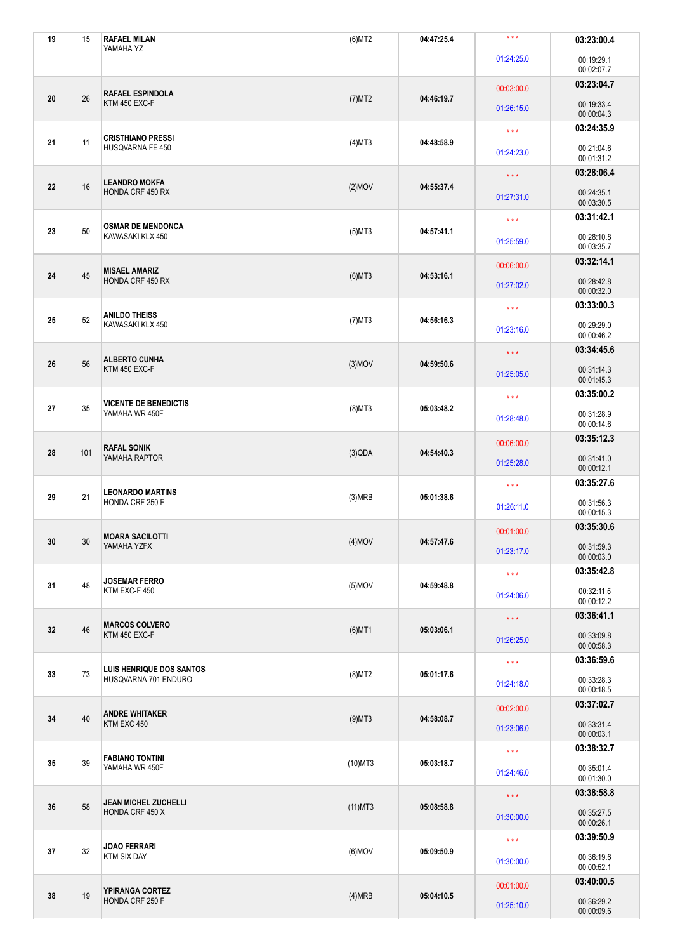| 19 | 15  | <b>RAFAEL MILAN</b><br>YAMAHA YZ                 | $(6)$ MT2  | 04:47:25.4                                    | $\star$ $\star$ $\star$ | 03:23:00.4                                                                                                                                                                                                                                                                                                                                                                                                                                                                                                                         |  |
|----|-----|--------------------------------------------------|------------|-----------------------------------------------|-------------------------|------------------------------------------------------------------------------------------------------------------------------------------------------------------------------------------------------------------------------------------------------------------------------------------------------------------------------------------------------------------------------------------------------------------------------------------------------------------------------------------------------------------------------------|--|
|    |     |                                                  |            |                                               | 01:24:25.0              | 00:19:29.1<br>00:02:07.7                                                                                                                                                                                                                                                                                                                                                                                                                                                                                                           |  |
| 20 |     | <b>RAFAEL ESPINDOLA</b>                          |            |                                               | 00:03:00.0              | 03:23:04.7                                                                                                                                                                                                                                                                                                                                                                                                                                                                                                                         |  |
|    | 26  | KTM 450 EXC-F                                    | $(7)$ MT2  | 04:46:19.7                                    | 01:26:15.0              | 00:19:33.4<br>00:00:04.3                                                                                                                                                                                                                                                                                                                                                                                                                                                                                                           |  |
|    |     | <b>CRISTHIANO PRESSI</b>                         |            |                                               | $\star\star\star$       | 03:24:35.9                                                                                                                                                                                                                                                                                                                                                                                                                                                                                                                         |  |
| 21 | 11  | HUSQVARNA FE 450                                 | $(4)$ MT3  | 04:48:58.9                                    | 01:24:23.0              | 00:21:04.6<br>00:01:31.2                                                                                                                                                                                                                                                                                                                                                                                                                                                                                                           |  |
| 22 | 16  | <b>LEANDRO MOKFA</b>                             | $(2)$ MOV  | 04:55:37.4                                    | $\star$ $\star$ $\star$ | 03:28:06.4                                                                                                                                                                                                                                                                                                                                                                                                                                                                                                                         |  |
|    |     | <b>HONDA CRF 450 RX</b>                          |            |                                               | 01:27:31.0              | 00:24:35.1<br>00:03:30.5                                                                                                                                                                                                                                                                                                                                                                                                                                                                                                           |  |
| 23 | 50  | <b>OSMAR DE MENDONCA</b>                         | $(5)$ MT3  | 04:57:41.1                                    | $\star\star\star$       |                                                                                                                                                                                                                                                                                                                                                                                                                                                                                                                                    |  |
|    |     | KAWASAKI KLX 450                                 |            |                                               | 01:25:59.0              | 00:28:10.8<br>00:03:35.7                                                                                                                                                                                                                                                                                                                                                                                                                                                                                                           |  |
| 24 | 45  | <b>MISAEL AMARIZ</b>                             |            | 04:53:16.1                                    | 00:06:00.0              |                                                                                                                                                                                                                                                                                                                                                                                                                                                                                                                                    |  |
|    |     | HONDA CRF 450 RX                                 | $(6)$ MT3  |                                               | 01:27:02.0              | 00:28:42.8<br>00:00:32.0                                                                                                                                                                                                                                                                                                                                                                                                                                                                                                           |  |
| 25 | 52  | <b>ANILDO THEISS</b>                             | $(7)$ MT3  | 04:56:16.3                                    | $\star\star\star$       |                                                                                                                                                                                                                                                                                                                                                                                                                                                                                                                                    |  |
|    |     | KAWASAKI KLX 450                                 |            |                                               | 01:23:16.0              | 00:29:29.0<br>00:00:46.2                                                                                                                                                                                                                                                                                                                                                                                                                                                                                                           |  |
|    |     | <b>ALBERTO CUNHA</b>                             |            |                                               | $\star$ $\star$ $\star$ | 03:34:45.6                                                                                                                                                                                                                                                                                                                                                                                                                                                                                                                         |  |
| 26 | 56  | KTM 450 EXC-F                                    | $(3)$ MOV  | 04:59:50.6                                    | 01:25:05.0              | 03:31:42.1<br>03:32:14.1<br>03:33:00.3<br>00:31:14.3<br>00:01:45.3<br>03:35:00.2<br>$\star\star\star$<br>00:31:28.9<br>01:28:48.0<br>00:00:14.6<br>03:35:12.3<br>00:06:00.0<br>00:31:41.0<br>01:25:28.0<br>00:00:12.1<br>03:35:27.6<br>$\star\star\star$<br>00:31:56.3<br>01:26:11.0<br>00:00:15.3<br>03:35:30.6<br>00:01:00.0<br>00:31:59.3<br>01:23:17.0<br>00:00:03.0<br>03:35:42.8<br>$\star\star\star$<br>00:32:11.5<br>01:24:06.0<br>00:00:12.2<br>03:36:41.1<br>$\star\star\star$<br>00:33:09.8<br>01:26:25.0<br>00:00:58.3 |  |
|    | 35  | <b>VICENTE DE BENEDICTIS</b><br>YAMAHA WR 450F   |            |                                               |                         |                                                                                                                                                                                                                                                                                                                                                                                                                                                                                                                                    |  |
| 27 |     |                                                  | $(8)$ MT3  | 05:03:48.2                                    |                         |                                                                                                                                                                                                                                                                                                                                                                                                                                                                                                                                    |  |
|    | 101 | <b>RAFAL SONIK</b><br>YAMAHA RAPTOR              |            |                                               |                         |                                                                                                                                                                                                                                                                                                                                                                                                                                                                                                                                    |  |
| 28 |     |                                                  | (3)QDA     | 04:54:40.3                                    |                         |                                                                                                                                                                                                                                                                                                                                                                                                                                                                                                                                    |  |
|    | 21  | <b>LEONARDO MARTINS</b><br>HONDA CRF 250 F       |            |                                               |                         |                                                                                                                                                                                                                                                                                                                                                                                                                                                                                                                                    |  |
| 29 |     |                                                  | (3)MRB     | 05:01:38.6                                    |                         |                                                                                                                                                                                                                                                                                                                                                                                                                                                                                                                                    |  |
|    |     | <b>MOARA SACILOTTI</b>                           |            |                                               |                         |                                                                                                                                                                                                                                                                                                                                                                                                                                                                                                                                    |  |
| 30 | 30  | YAMAHA YZFX                                      | $(4)$ MOV  | 04:57:47.6                                    |                         |                                                                                                                                                                                                                                                                                                                                                                                                                                                                                                                                    |  |
|    |     | <b>JOSEMAR FERRO</b><br>KTM EXC-F 450            |            |                                               |                         |                                                                                                                                                                                                                                                                                                                                                                                                                                                                                                                                    |  |
| 31 | 48  |                                                  | $(5)$ MOV  | 04:59:48.8                                    |                         |                                                                                                                                                                                                                                                                                                                                                                                                                                                                                                                                    |  |
|    |     |                                                  |            |                                               |                         |                                                                                                                                                                                                                                                                                                                                                                                                                                                                                                                                    |  |
| 32 | 46  | <b>MARCOS COLVERO</b><br>KTM 450 EXC-F           | $(6)$ MT1  | 05:03:06.1                                    |                         |                                                                                                                                                                                                                                                                                                                                                                                                                                                                                                                                    |  |
|    |     |                                                  |            | $\star\star\star$<br>05:01:17.6<br>01:24:18.0 |                         | 03:36:59.6                                                                                                                                                                                                                                                                                                                                                                                                                                                                                                                         |  |
| 33 | 73  | LUIS HENRIQUE DOS SANTOS<br>HUSQVARNA 701 ENDURO | $(8)$ MT2  |                                               |                         | 00:33:28.3<br>00:00:18.5                                                                                                                                                                                                                                                                                                                                                                                                                                                                                                           |  |
|    | 40  | <b>ANDRE WHITAKER</b><br>KTM EXC 450             |            |                                               | 00:02:00.0              | 03:37:02.7                                                                                                                                                                                                                                                                                                                                                                                                                                                                                                                         |  |
| 34 |     |                                                  | $(9)$ MT3  | 04:58:08.7                                    | 01:23:06.0              | 00:33:31.4<br>00:00:03.1                                                                                                                                                                                                                                                                                                                                                                                                                                                                                                           |  |
|    | 39  | <b>FABIANO TONTINI</b><br>YAMAHA WR 450F         |            |                                               | $\star\star\star$       | 03:38:32.7                                                                                                                                                                                                                                                                                                                                                                                                                                                                                                                         |  |
| 35 |     |                                                  | $(10)$ MT3 | 05:03:18.7                                    | 01:24:46.0              | 00:35:01.4<br>00:01:30.0                                                                                                                                                                                                                                                                                                                                                                                                                                                                                                           |  |
|    | 58  | <b>JEAN MICHEL ZUCHELLI</b><br>HONDA CRF 450 X   |            | $\star\star\star$                             |                         | 03:38:58.8                                                                                                                                                                                                                                                                                                                                                                                                                                                                                                                         |  |
| 36 |     |                                                  | $(11)$ MT3 | 05:08:58.8                                    | 01:30:00.0              | 00:35:27.5<br>00:00:26.1                                                                                                                                                                                                                                                                                                                                                                                                                                                                                                           |  |
|    | 32  | <b>JOAO FERRARI</b><br><b>KTM SIX DAY</b>        |            |                                               | $\star$ $\star$ $\star$ | 03:39:50.9                                                                                                                                                                                                                                                                                                                                                                                                                                                                                                                         |  |
| 37 |     |                                                  | $(6)$ MOV  | 05:09:50.9<br>01:30:00.0                      |                         | 00:36:19.6<br>00:00:52.1                                                                                                                                                                                                                                                                                                                                                                                                                                                                                                           |  |
| 38 | 19  | YPIRANGA CORTEZ<br>HONDA CRF 250 F               |            |                                               | 00:01:00.0              | 03:40:00.5                                                                                                                                                                                                                                                                                                                                                                                                                                                                                                                         |  |
|    |     |                                                  | (4)MRB     | 05:04:10.5                                    | 01:25:10.0              | 00:36:29.2<br>00:00:09.6                                                                                                                                                                                                                                                                                                                                                                                                                                                                                                           |  |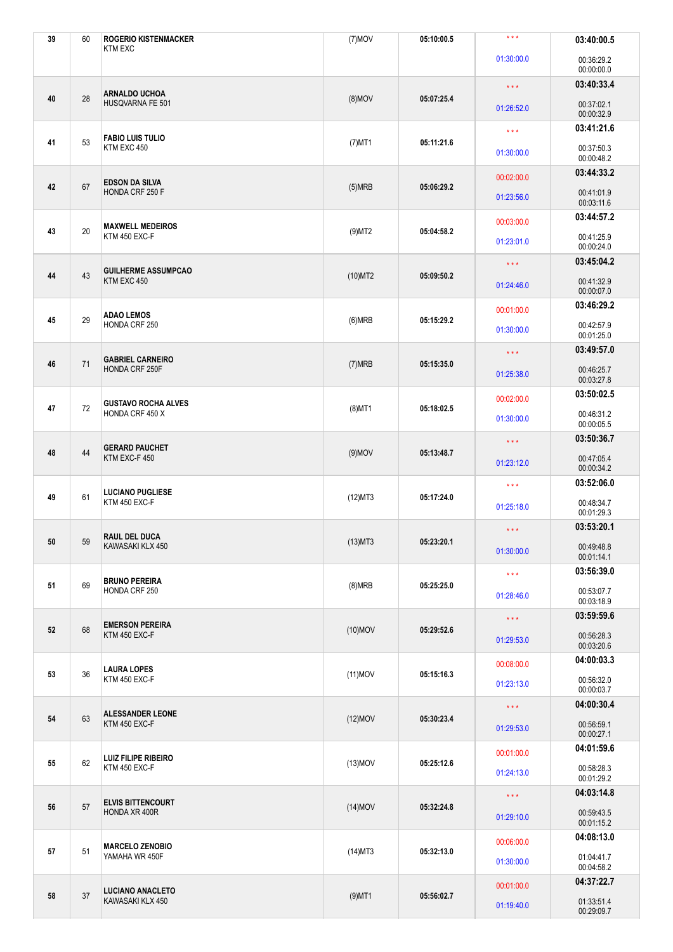| 39 | 60     | <b>ROGERIO KISTENMACKER</b><br><b>KTM EXC</b> | $(7)$ MOV  | 05:10:00.5               | $\star\star\star$                                             | 03:40:00.5               |
|----|--------|-----------------------------------------------|------------|--------------------------|---------------------------------------------------------------|--------------------------|
|    |        |                                               |            |                          | 01:30:00.0                                                    | 00:36:29.2<br>00:00:00.0 |
| 40 |        | <b>ARNALDO UCHOA</b>                          |            |                          | $\star\star\star$                                             | 03:40:33.4               |
|    | 28     | HUSQVARNA FE 501                              | $(8)$ MOV  | 05:07:25.4               | 01:26:52.0                                                    | 00:37:02.1<br>00:00:32.9 |
|    | 53     | <b>FABIO LUIS TULIO</b>                       |            |                          | $\star\star\star$                                             | 03:41:21.6               |
| 41 |        | KTM EXC 450                                   | $(7)$ MT1  | 05:11:21.6               | 01:30:00.0                                                    | 00:37:50.3<br>00:00:48.2 |
| 42 | 67     | <b>EDSON DA SILVA</b>                         | (5)MRB     | 05:06:29.2               | 00:02:00.0                                                    | 03:44:33.2               |
|    |        | HONDA CRF 250 F                               |            |                          | 01:23:56.0                                                    | 00:41:01.9<br>00:03:11.6 |
| 43 | 20     | <b>MAXWELL MEDEIROS</b>                       | $(9)$ MT2  | 05:04:58.2               | 00:03:00.0                                                    | 03:44:57.2               |
|    |        | KTM 450 EXC-F                                 |            |                          | 01:23:01.0                                                    | 00:41:25.9<br>00:00:24.0 |
| 44 |        | <b>GUILHERME ASSUMPCAO</b>                    | $(10)$ MT2 | 05:09:50.2               | $\star$ $\star$ $\star$                                       | 03:45:04.2               |
|    | 43     | KTM EXC 450                                   |            |                          | 01:24:46.0                                                    | 00:41:32.9<br>00:00:07.0 |
|    | 29     | <b>ADAO LEMOS</b>                             |            |                          | 00:01:00.0                                                    | 03:46:29.2               |
| 45 |        | HONDA CRF 250                                 | (6)MRB     | 05:15:29.2               | 01:30:00.0                                                    | 00:42:57.9<br>00:01:25.0 |
|    |        | <b>GABRIEL CARNEIRO</b><br>HONDA CRF 250F     |            |                          | $\star$ $\star$ $\star$                                       | 03:49:57.0               |
| 46 | 71     |                                               | (7)MRB     | 05:15:35.0               | 01:25:38.0                                                    | 00:46:25.7<br>00:03:27.8 |
|    |        | <b>GUSTAVO ROCHA ALVES</b><br>HONDA CRF 450 X |            |                          | 00:02:00.0                                                    | 03:50:02.5               |
| 47 | 72     |                                               | $(8)$ MT1  | 05:18:02.5               | 01:30:00.0                                                    | 00:46:31.2<br>00:00:05.5 |
|    |        | <b>GERARD PAUCHET</b>                         |            |                          | $\star$ $\star$ $\star$                                       | 03:50:36.7               |
| 48 | 44     | KTM EXC-F 450                                 | $(9)$ MOV  | 05:13:48.7               | 01:23:12.0                                                    | 00:47:05.4<br>00:00:34.2 |
|    |        | <b>LUCIANO PUGLIESE</b><br>KTM 450 EXC-F      |            |                          | $\star\star\star$                                             | 03:52:06.0               |
| 49 | 61     |                                               | $(12)$ MT3 | 05:17:24.0               | 00:48:34.7<br>01:25:18.0<br>00:01:29.3<br>03:53:20.1<br>$***$ |                          |
|    |        | <b>RAUL DEL DUCA</b>                          |            |                          |                                                               |                          |
| 50 | 59     | KAWASAKI KLX 450                              | $(13)$ MT3 | 05:23:20.1               | 01:30:00.0                                                    | 00:49:48.8<br>00:01:14.1 |
|    |        | <b>BRUNO PEREIRA</b>                          |            |                          | $\star\star\star$                                             | 03:56:39.0               |
| 51 | 69     | HONDA CRF 250                                 | (8)MRB     | 05:25:25.0               | 01:28:46.0                                                    | 00:53:07.7<br>00:03:18.9 |
|    |        | <b>EMERSON PEREIRA</b>                        |            |                          | $\star\star\star$                                             | 03:59:59.6               |
| 52 | 68     | KTM 450 EXC-F                                 | $(10)$ MOV | 05:29:52.6               | 01:29:53.0                                                    | 00:56:28.3<br>00:03:20.6 |
|    | 36     | <b>LAURA LOPES</b><br>KTM 450 EXC-F           |            |                          | 00:08:00.0                                                    | 04:00:03.3               |
| 53 |        |                                               | $(11)$ MOV | 05:15:16.3               | 01:23:13.0                                                    | 00:56:32.0<br>00:00:03.7 |
|    |        | <b>ALESSANDER LEONE</b>                       |            |                          | $\star\star\star$                                             | 04:00:30.4               |
| 54 | 63     | KTM 450 EXC-F                                 | $(12)$ MOV | 05:30:23.4               | 01:29:53.0                                                    | 00:56:59.1<br>00:00:27.1 |
|    | 62     | <b>LUIZ FILIPE RIBEIRO</b><br>KTM 450 EXC-F   |            |                          | 00:01:00.0                                                    | 04:01:59.6               |
| 55 |        |                                               | $(13)$ MOV | 05:25:12.6               | 01:24:13.0                                                    | 00:58:28.3<br>00:01:29.2 |
|    | 57     | <b>ELVIS BITTENCOURT</b><br>HONDA XR 400R     |            |                          | $\star\star\star$                                             | 04:03:14.8               |
| 56 |        |                                               | $(14)$ MOV | 05:32:24.8               | 01:29:10.0                                                    | 00:59:43.5<br>00:01:15.2 |
|    | 51     | <b>MARCELO ZENOBIO</b><br>YAMAHA WR 450F      |            |                          | 00:06:00.0                                                    | 04:08:13.0               |
| 57 |        |                                               | $(14)$ MT3 | 05:32:13.0<br>01:30:00.0 |                                                               | 01:04:41.7<br>00:04:58.2 |
| 58 | $37\,$ | <b>LUCIANO ANACLETO</b><br>KAWASAKI KLX 450   |            |                          | 00:01:00.0                                                    | 04:37:22.7               |
|    |        |                                               | $(9)$ MT1  | 05:56:02.7               | 01:19:40.0                                                    | 01:33:51.4<br>00:29:09.7 |